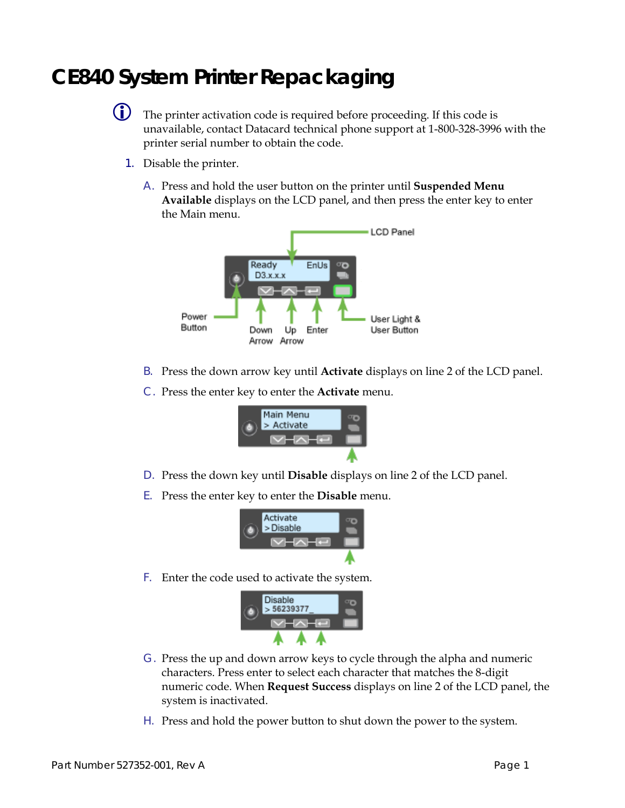## **CE840 System Printer Repackaging**



 The printer activation code is required before proceeding. If this code is unavailable, contact Datacard technical phone support at 1-800-328-3996 with the printer serial number to obtain the code.

- 1. Disable the printer.
	- A. Press and hold the user button on the printer until **Suspended Menu Available** displays on the LCD panel, and then press the enter key to enter the Main menu.



- B. Press the down arrow key until **Activate** displays on line 2 of the LCD panel.
- C. Press the enter key to enter the **Activate** menu.



- D. Press the down key until **Disable** displays on line 2 of the LCD panel.
- E. Press the enter key to enter the **Disable** menu.



F. Enter the code used to activate the system.



- G. Press the up and down arrow keys to cycle through the alpha and numeric characters. Press enter to select each character that matches the 8-digit numeric code. When **Request Success** displays on line 2 of the LCD panel, the system is inactivated.
- H. Press and hold the power button to shut down the power to the system.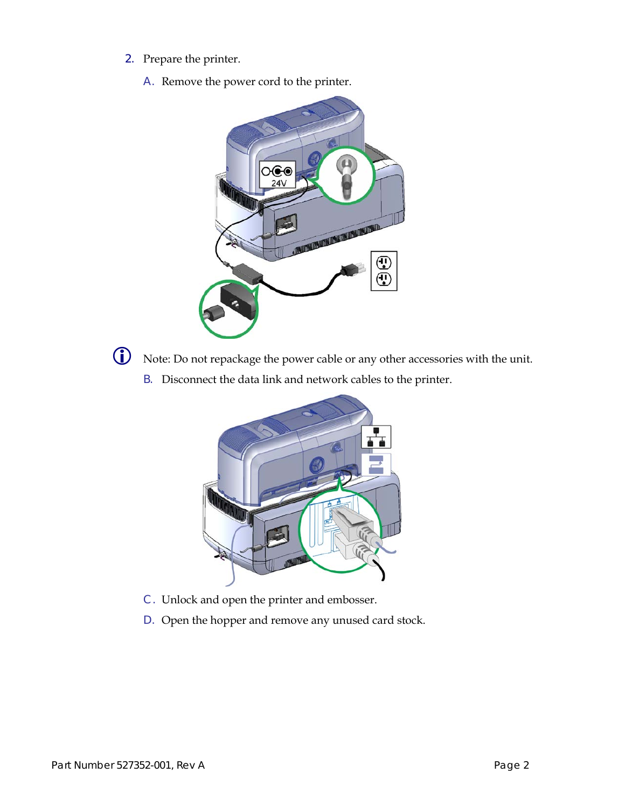- 2. Prepare the printer.
	- A. Remove the power cord to the printer.





Note: Do not repackage the power cable or any other accessories with the unit.

B. Disconnect the data link and network cables to the printer.



- C. Unlock and open the printer and embosser.
- D. Open the hopper and remove any unused card stock.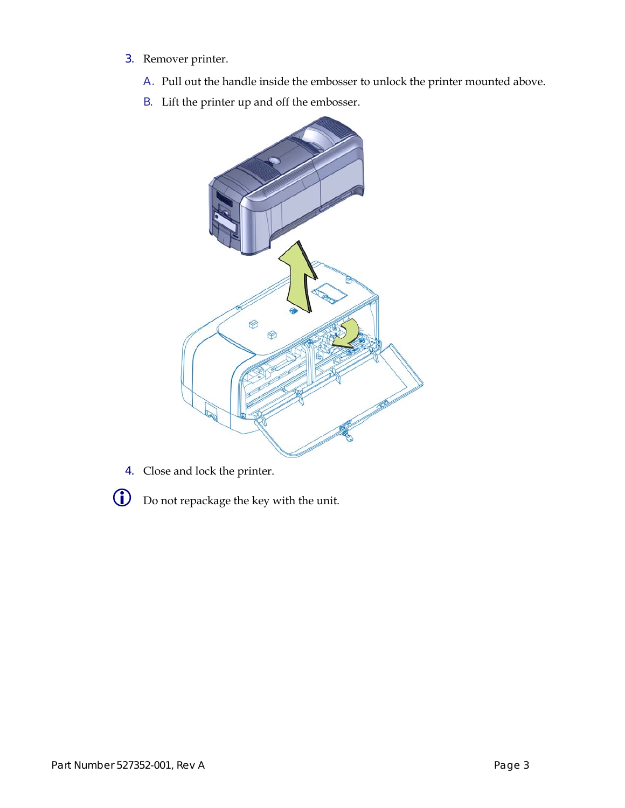- 3. Remover printer.
	- A. Pull out the handle inside the embosser to unlock the printer mounted above.
	- B. Lift the printer up and off the embosser.



- 4. Close and lock the printer.
- 
- Do not repackage the key with the unit.